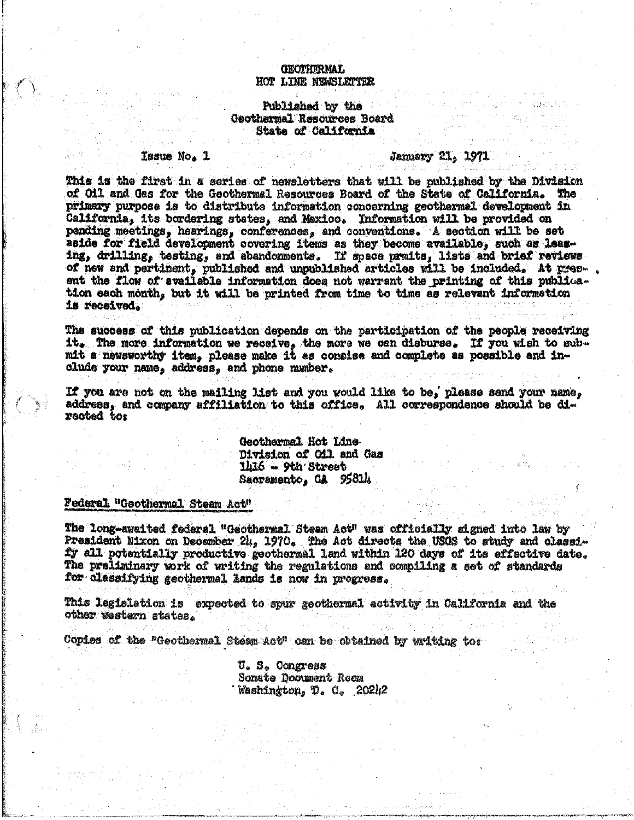### **GEOTHERMAL** HOT LINE NEWSLETTER

#### Published by the Geothermal Resources Board State of California

#### **Tasue No. 1**

#### **January 21, 1971**

This is the first in a series of newsletters that will be published by the Division of Oil and Gas for the Geothermal Resources Board of the State of California. The primary purpose is to distribute information concerning geothermel development in California, its bordering states, and Mexico. Information will be provided on pending meetings, hearings, conferences, and conventions. A section will be set aside for field development covering items as they become available, such as leasing, drilling, testing, and abandonments. If space prmits, lists and brief reviews of new and pertinent, published and unpublished articles will be included. At present the flow of available information does not warrant the printing of this publication each month, but it will be printed from time to time as relevant information is received.

The success of this publication depends on the participation of the people receiving it. The more information we receive, the more we can disburse. If you wish to sub-<br>mit a newsworthy item, please make it as consise and complete as possible and include your name, address, and phone mumber.

If you are not on the mailing list and you would like to be, please send your name, address, and company affiliation to this office. All correspondence should be directed tor

> Geothermal Hot Line Division of Oil and Gas  $1h16 - 9th$  Street Sacramento, CA 95814

## Federal "Geothermal Steam Act"

The long-awaited federal "Geothermal Steam Act" was officially signed into law by President Nixon on December 24, 1970. The Act directs the USGS to study and classify all potentially productive geothermal land within 120 days of its effective date. The preliminary work of writing the regulations and compiling a set of standards for classifying geothermal lands is now in progress.

This legislation is expected to spur geothermal activity in California and the other western states.

Copies of the "Geothermal Steam Act" can be obtained by writing to:

U. S. Congress **Sonate Document Room** Washington, D. C. 20242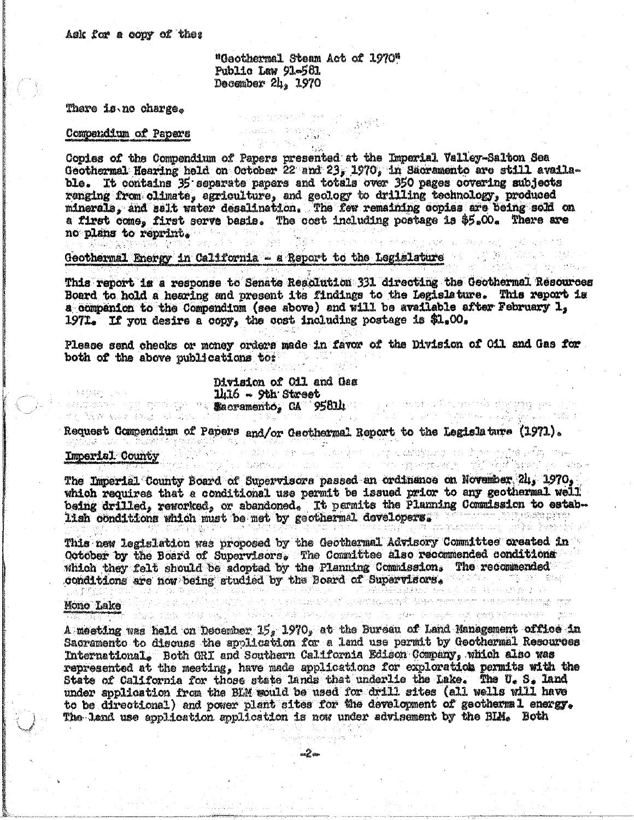"Geothermal Steam Act of 1970" Public Law 91-561 December  $2l_{12}$  1970

in Kabupatèn Jawa<br>Sebagai Kabupatèn

经行政 家庭

#### There is no charge.

#### Compendium of Papers

Copies of the Compendium of Papers presented at the Imperial Valley-Salton Sea Geothermal Hearing held on October 22 and 23, 1970, in Sacramento are still available. It contains 35 separate papers and totals over 350 pages covering subjects ranging from climate, agriculture, and geology to drilling technology, produced minerals, and salt water desalination. The few remaining copies are being sold on a first come, first serve basis. The cost including postage is \$5.00. There are no plans to reprint.

 $\mathbb{E} \left[ \mathbb{E} \left[ \mathbb{E} \left[ \mathbb{E} \left[ \mathbb{E} \right] \right] \right] \right]$ 

# Geothermal Energy in California - a Report to the Legislature

This report is a response to Senate Resolution 331 directing the Geothermal Resources Board to hold a hearing and present its findings to the Legislature. This report is a companion to the Compendium (see above) and will be available after February 1, 1971. If you desire a copy, the cost including postage is  $L_0O_s$ 

Please send checks or money orders made in favor of the Division of Oil and Gas for both of the above publications to:

Division of Oil and Gas  $11.16 - 9th$  Street anders of the second of the second second second second and second the second second second second and second

Request Compendium of Papers and/or Geothermal Report to the Legislature (1971). 

The Imperial County Board of Supervisors passed an ordinance on November 24, 1970, which requires that a conditional use permit be issued prior to any geothermal well being drilled, reworked, or abandoned. It permits the Planning Commission to establish conditions which must be met by geothermal developers.

This new legislation was proposed by the Geothermal Advisory Committee oreated in October by the Board of Supervisors. The Committee also recommended conditions which they felt should be adopted by the Planning Commission. The recommended conditions are now being studied by the Board of Supervisors. and provided the control of the company of the company of the control of the company of the company of the com<br>The control of the company of the company of the company of the company of the company of the company of the c

# Mono Lake

ੀਸ ਨੂੰ ਮੁੱਖਿਆ ਹਨ।

 $1.5$   $\mathcal{I}$   $\mathcal{T}$   $\mathcal{I}$   $\mathcal{I}$ 

A meeting was held on December 15, 1970, at the Bureau of Land Management office in Sacramento to discuss the application for a land use permit by Geothermal Resources International, Both GRI and Southern California Edison Company, which also was represented at the meeting, have made applications for exploration permits with the State of California for those state lands that underlie the Lake. The U. S. land under application from the BLM would be used for drill sites (all wells will have to be directional) and power plant sites for the development of geothermal energy. The land use application application is now under advisement by the BIM. Both